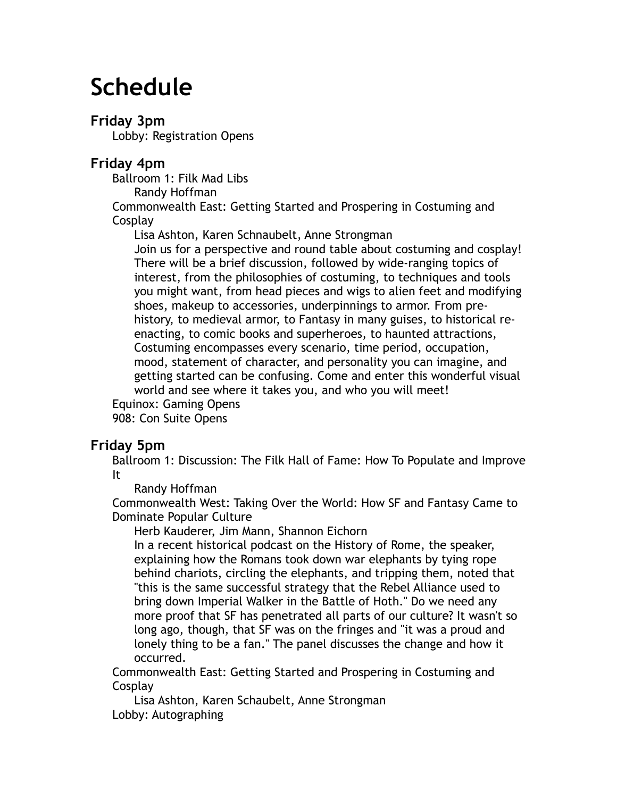# **Schedule**

# **Friday 3pm**

Lobby: Registration Opens

# **Friday 4pm**

Ballroom 1: Filk Mad Libs

Randy Hoffman

Commonwealth East: Getting Started and Prospering in Costuming and **Cosplay** 

Lisa Ashton, Karen Schnaubelt, Anne Strongman

Join us for a perspective and round table about costuming and cosplay! There will be a brief discussion, followed by wide-ranging topics of interest, from the philosophies of costuming, to techniques and tools you might want, from head pieces and wigs to alien feet and modifying shoes, makeup to accessories, underpinnings to armor. From prehistory, to medieval armor, to Fantasy in many guises, to historical reenacting, to comic books and superheroes, to haunted attractions, Costuming encompasses every scenario, time period, occupation, mood, statement of character, and personality you can imagine, and getting started can be confusing. Come and enter this wonderful visual world and see where it takes you, and who you will meet! Equinox: Gaming Opens

908: Con Suite Opens

# **Friday 5pm**

Ballroom 1: Discussion: The Filk Hall of Fame: How To Populate and Improve It

Randy Hoffman

Commonwealth West: Taking Over the World: How SF and Fantasy Came to Dominate Popular Culture

Herb Kauderer, Jim Mann, Shannon Eichorn

In a recent historical podcast on the History of Rome, the speaker, explaining how the Romans took down war elephants by tying rope behind chariots, circling the elephants, and tripping them, noted that "this is the same successful strategy that the Rebel Alliance used to bring down Imperial Walker in the Battle of Hoth." Do we need any more proof that SF has penetrated all parts of our culture? It wasn't so long ago, though, that SF was on the fringes and "it was a proud and lonely thing to be a fan." The panel discusses the change and how it occurred.

Commonwealth East: Getting Started and Prospering in Costuming and **Cosplay** 

Lisa Ashton, Karen Schaubelt, Anne Strongman Lobby: Autographing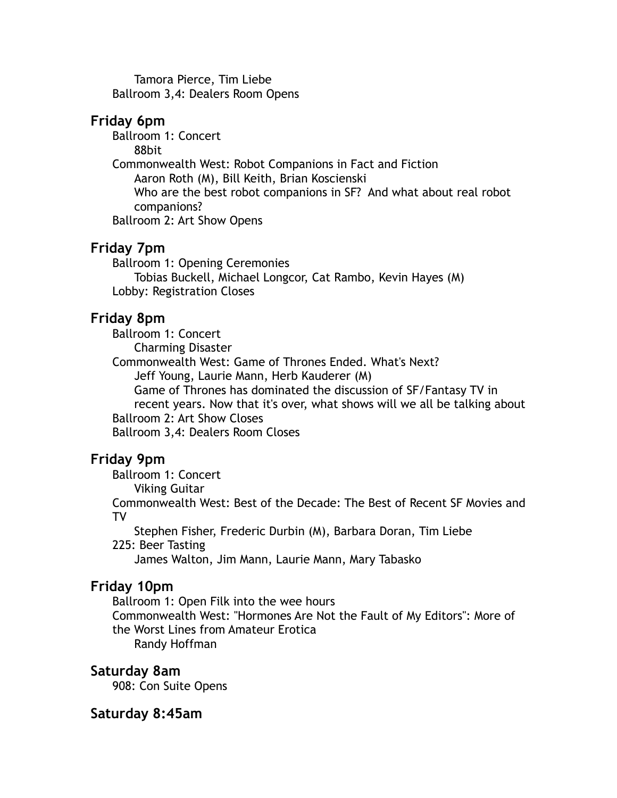Tamora Pierce, Tim Liebe Ballroom 3,4: Dealers Room Opens

### **Friday 6pm**

Ballroom 1: Concert 88bit Commonwealth West: Robot Companions in Fact and Fiction Aaron Roth (M), Bill Keith, Brian Koscienski Who are the best robot companions in SF? And what about real robot companions? Ballroom 2: Art Show Opens

# **Friday 7pm**

Ballroom 1: Opening Ceremonies Tobias Buckell, Michael Longcor, Cat Rambo, Kevin Hayes (M) Lobby: Registration Closes

# **Friday 8pm**

Ballroom 1: Concert Charming Disaster Commonwealth West: Game of Thrones Ended. What's Next? Jeff Young, Laurie Mann, Herb Kauderer (M) Game of Thrones has dominated the discussion of SF/Fantasy TV in recent years. Now that it's over, what shows will we all be talking about Ballroom 2: Art Show Closes Ballroom 3,4: Dealers Room Closes

# **Friday 9pm**

Ballroom 1: Concert

Viking Guitar

Commonwealth West: Best of the Decade: The Best of Recent SF Movies and TV

Stephen Fisher, Frederic Durbin (M), Barbara Doran, Tim Liebe 225: Beer Tasting

James Walton, Jim Mann, Laurie Mann, Mary Tabasko

# **Friday 10pm**

Ballroom 1: Open Filk into the wee hours

Commonwealth West: "Hormones Are Not the Fault of My Editors": More of the Worst Lines from Amateur Erotica

Randy Hoffman

### **Saturday 8am**

908: Con Suite Opens

### **Saturday 8:45am**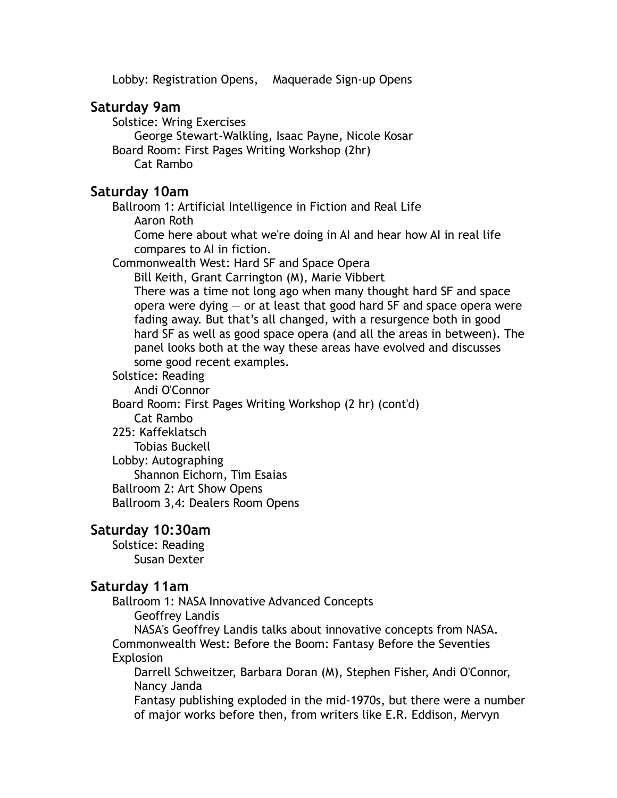Lobby: Registration Opens, Maquerade Sign-up Opens

### **Saturday 9am**

Solstice: Wring Exercises George Stewart-Walkling, Isaac Payne, Nicole Kosar Board Room: First Pages Writing Workshop (2hr) Cat Rambo

### **Saturday 10am**

Ballroom 1: Artificial Intelligence in Fiction and Real Life Aaron Roth

Come here about what we're doing in AI and hear how AI in real life compares to AI in fiction.

Commonwealth West: Hard SF and Space Opera

Bill Keith, Grant Carrington (M), Marie Vibbert There was a time not long ago when many thought hard SF and space opera were dying  $-$  or at least that good hard SF and space opera were fading away. But that's all changed, with a resurgence both in good hard SF as well as good space opera (and all the areas in between). The panel looks both at the way these areas have evolved and discusses some good recent examples.

Solstice: Reading

Andi O'Connor

Board Room: First Pages Writing Workshop (2 hr) (cont'd)

Cat Rambo

225: Kaffeklatsch

Tobias Buckell

Lobby: Autographing

Shannon Eichorn, Tim Esaias

Ballroom 2: Art Show Opens

Ballroom 3,4: Dealers Room Opens

### **Saturday 10:30am**

Solstice: Reading Susan Dexter

### **Saturday 11am**

Ballroom 1: NASA Innovative Advanced Concepts Geoffrey Landis

NASA's Geoffrey Landis talks about innovative concepts from NASA. Commonwealth West: Before the Boom: Fantasy Before the Seventies

#### Explosion

Darrell Schweitzer, Barbara Doran (M), Stephen Fisher, Andi O'Connor, Nancy Janda

Fantasy publishing exploded in the mid-1970s, but there were a number of major works before then, from writers like E.R. Eddison, Mervyn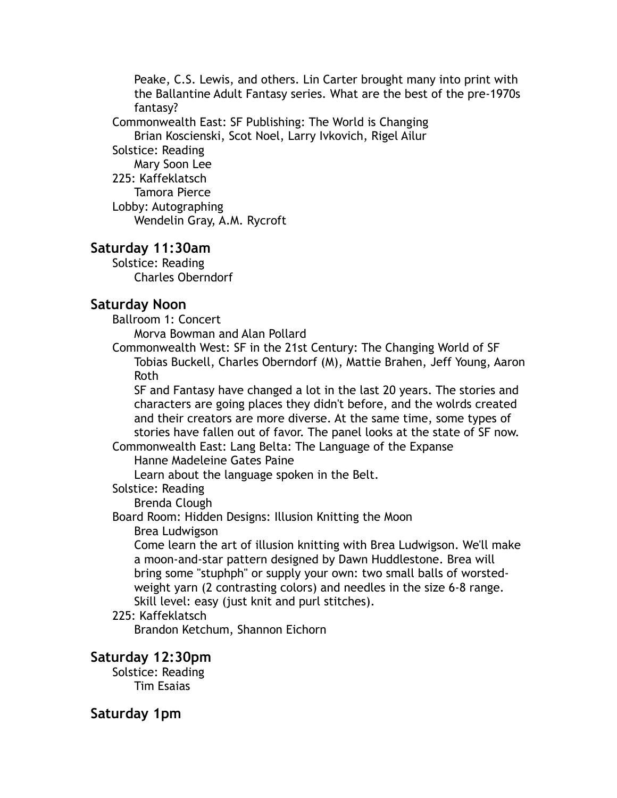Peake, C.S. Lewis, and others. Lin Carter brought many into print with the Ballantine Adult Fantasy series. What are the best of the pre-1970s fantasy?

Commonwealth East: SF Publishing: The World is Changing Brian Koscienski, Scot Noel, Larry Ivkovich, Rigel Ailur

Solstice: Reading Mary Soon Lee 225: Kaffeklatsch Tamora Pierce Lobby: Autographing Wendelin Gray, A.M. Rycroft

### **Saturday 11:30am**

Solstice: Reading Charles Oberndorf

# **Saturday Noon**

Ballroom 1: Concert

Morva Bowman and Alan Pollard

Commonwealth West: SF in the 21st Century: The Changing World of SF Tobias Buckell, Charles Oberndorf (M), Mattie Brahen, Jeff Young, Aaron Roth

SF and Fantasy have changed a lot in the last 20 years. The stories and characters are going places they didn't before, and the wolrds created and their creators are more diverse. At the same time, some types of stories have fallen out of favor. The panel looks at the state of SF now.

Commonwealth East: Lang Belta: The Language of the Expanse Hanne Madeleine Gates Paine

Learn about the language spoken in the Belt.

Solstice: Reading

Brenda Clough

Board Room: Hidden Designs: Illusion Knitting the Moon

### Brea Ludwigson

Come learn the art of illusion knitting with Brea Ludwigson. We'll make a moon-and-star pattern designed by Dawn Huddlestone. Brea will bring some "stuphph" or supply your own: two small balls of worstedweight yarn (2 contrasting colors) and needles in the size 6-8 range. Skill level: easy (just knit and purl stitches).

### 225: Kaffeklatsch

Brandon Ketchum, Shannon Eichorn

### **Saturday 12:30pm**

Solstice: Reading Tim Esaias

**Saturday 1pm**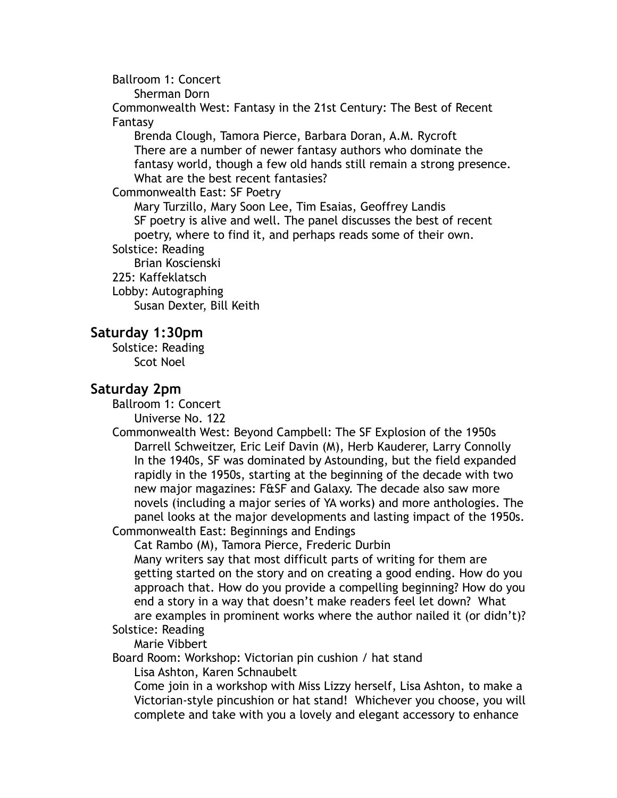Ballroom 1: Concert

Sherman Dorn

Commonwealth West: Fantasy in the 21st Century: The Best of Recent Fantasy

Brenda Clough, Tamora Pierce, Barbara Doran, A.M. Rycroft There are a number of newer fantasy authors who dominate the fantasy world, though a few old hands still remain a strong presence. What are the best recent fantasies?

#### Commonwealth East: SF Poetry

Mary Turzillo, Mary Soon Lee, Tim Esaias, Geoffrey Landis SF poetry is alive and well. The panel discusses the best of recent poetry, where to find it, and perhaps reads some of their own.

# Solstice: Reading

Brian Koscienski 225: Kaffeklatsch Lobby: Autographing

Susan Dexter, Bill Keith

### **Saturday 1:30pm**

Solstice: Reading Scot Noel

### **Saturday 2pm**

Ballroom 1: Concert

Universe No. 122

Commonwealth West: Beyond Campbell: The SF Explosion of the 1950s Darrell Schweitzer, Eric Leif Davin (M), Herb Kauderer, Larry Connolly In the 1940s, SF was dominated by Astounding, but the field expanded rapidly in the 1950s, starting at the beginning of the decade with two new major magazines: F&SF and Galaxy. The decade also saw more novels (including a major series of YA works) and more anthologies. The panel looks at the major developments and lasting impact of the 1950s. Commonwealth East: Beginnings and Endings

Cat Rambo (M), Tamora Pierce, Frederic Durbin

Many writers say that most difficult parts of writing for them are getting started on the story and on creating a good ending. How do you approach that. How do you provide a compelling beginning? How do you end a story in a way that doesn't make readers feel let down? What are examples in prominent works where the author nailed it (or didn't)? Solstice: Reading

### Marie Vibbert

Board Room: Workshop: Victorian pin cushion / hat stand

Lisa Ashton, Karen Schnaubelt

Come join in a workshop with Miss Lizzy herself, Lisa Ashton, to make a Victorian-style pincushion or hat stand! Whichever you choose, you will complete and take with you a lovely and elegant accessory to enhance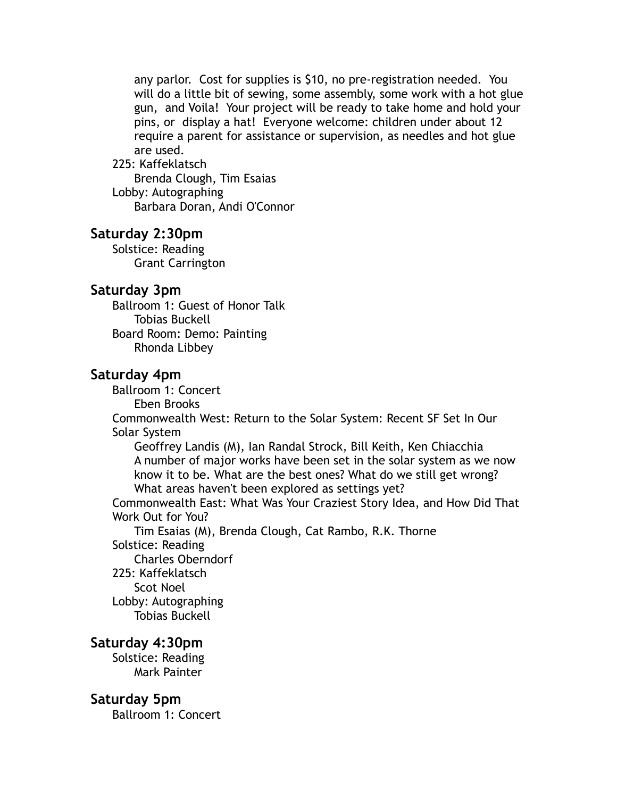any parlor. Cost for supplies is \$10, no pre-registration needed. You will do a little bit of sewing, some assembly, some work with a hot glue gun, and Voila! Your project will be ready to take home and hold your pins, or display a hat! Everyone welcome: children under about 12 require a parent for assistance or supervision, as needles and hot glue are used.

#### 225: Kaffeklatsch

Brenda Clough, Tim Esaias Lobby: Autographing Barbara Doran, Andi O'Connor

#### **Saturday 2:30pm**

Solstice: Reading Grant Carrington

#### **Saturday 3pm**

Ballroom 1: Guest of Honor Talk Tobias Buckell Board Room: Demo: Painting Rhonda Libbey

#### **Saturday 4pm**

Ballroom 1: Concert

Eben Brooks

Commonwealth West: Return to the Solar System: Recent SF Set In Our Solar System

Geoffrey Landis (M), Ian Randal Strock, Bill Keith, Ken Chiacchia A number of major works have been set in the solar system as we now know it to be. What are the best ones? What do we still get wrong? What areas haven't been explored as settings yet?

Commonwealth East: What Was Your Craziest Story Idea, and How Did That Work Out for You?

Tim Esaias (M), Brenda Clough, Cat Rambo, R.K. Thorne Solstice: Reading

Charles Oberndorf

225: Kaffeklatsch

Scot Noel

Lobby: Autographing

Tobias Buckell

### **Saturday 4:30pm**

Solstice: Reading Mark Painter

#### **Saturday 5pm**

Ballroom 1: Concert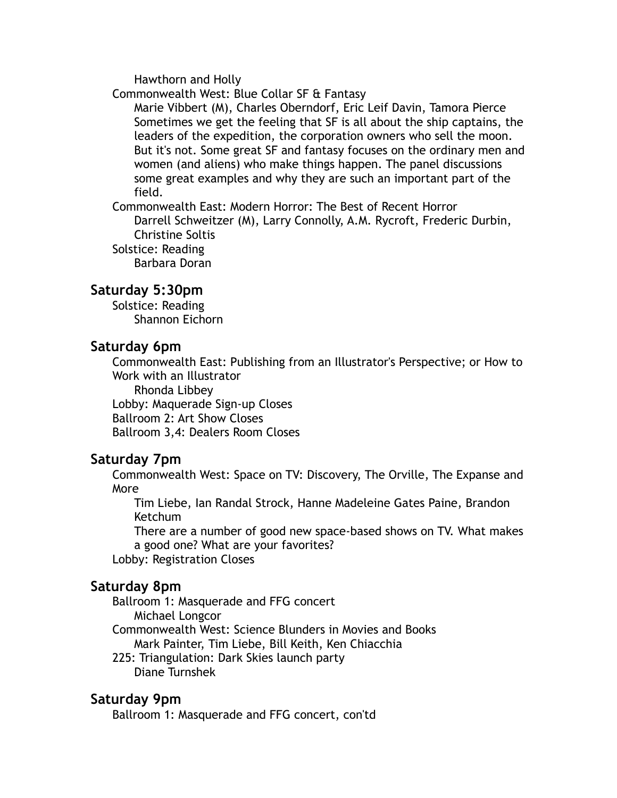Hawthorn and Holly

Commonwealth West: Blue Collar SF & Fantasy

Marie Vibbert (M), Charles Oberndorf, Eric Leif Davin, Tamora Pierce Sometimes we get the feeling that SF is all about the ship captains, the leaders of the expedition, the corporation owners who sell the moon. But it's not. Some great SF and fantasy focuses on the ordinary men and women (and aliens) who make things happen. The panel discussions some great examples and why they are such an important part of the field.

Commonwealth East: Modern Horror: The Best of Recent Horror Darrell Schweitzer (M), Larry Connolly, A.M. Rycroft, Frederic Durbin, Christine Soltis Solstice: Reading

Barbara Doran

### **Saturday 5:30pm**

Solstice: Reading Shannon Eichorn

### **Saturday 6pm**

Commonwealth East: Publishing from an Illustrator's Perspective; or How to Work with an Illustrator

Rhonda Libbey Lobby: Maquerade Sign-up Closes Ballroom 2: Art Show Closes Ballroom 3,4: Dealers Room Closes

# **Saturday 7pm**

Commonwealth West: Space on TV: Discovery, The Orville, The Expanse and More

Tim Liebe, Ian Randal Strock, Hanne Madeleine Gates Paine, Brandon Ketchum

There are a number of good new space-based shows on TV. What makes a good one? What are your favorites?

Lobby: Registration Closes

### **Saturday 8pm**

Ballroom 1: Masquerade and FFG concert Michael Longcor

Commonwealth West: Science Blunders in Movies and Books Mark Painter, Tim Liebe, Bill Keith, Ken Chiacchia

225: Triangulation: Dark Skies launch party Diane Turnshek

### **Saturday 9pm**

Ballroom 1: Masquerade and FFG concert, con'td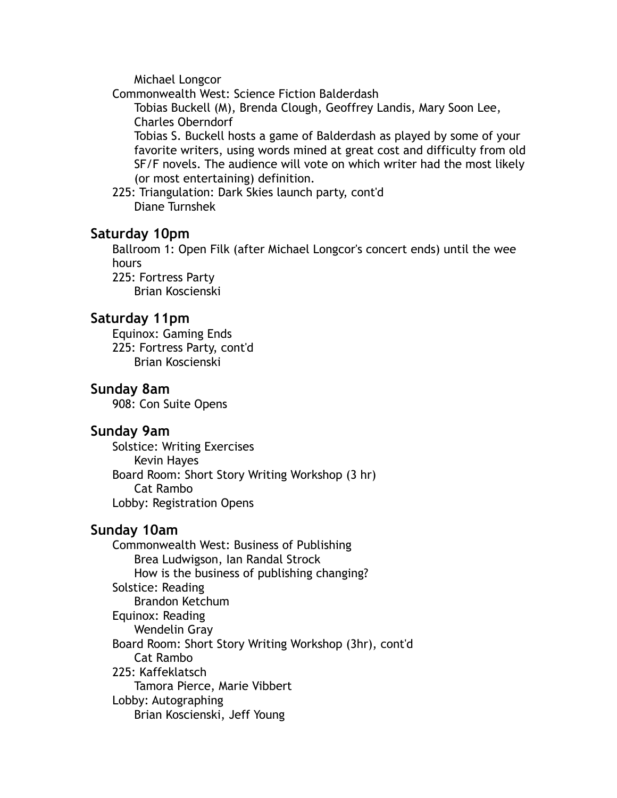Michael Longcor

Commonwealth West: Science Fiction Balderdash

Tobias Buckell (M), Brenda Clough, Geoffrey Landis, Mary Soon Lee, Charles Oberndorf

Tobias S. Buckell hosts a game of Balderdash as played by some of your favorite writers, using words mined at great cost and difficulty from old SF/F novels. The audience will vote on which writer had the most likely (or most entertaining) definition.

225: Triangulation: Dark Skies launch party, cont'd Diane Turnshek

### **Saturday 10pm**

Ballroom 1: Open Filk (after Michael Longcor's concert ends) until the wee hours 225: Fortress Party

Brian Koscienski

### **Saturday 11pm**

Equinox: Gaming Ends 225: Fortress Party, cont'd Brian Koscienski

### **Sunday 8am**

908: Con Suite Opens

### **Sunday 9am**

Solstice: Writing Exercises Kevin Hayes Board Room: Short Story Writing Workshop (3 hr) Cat Rambo Lobby: Registration Opens

### **Sunday 10am**

Commonwealth West: Business of Publishing Brea Ludwigson, Ian Randal Strock How is the business of publishing changing? Solstice: Reading Brandon Ketchum Equinox: Reading Wendelin Gray Board Room: Short Story Writing Workshop (3hr), cont'd Cat Rambo 225: Kaffeklatsch Tamora Pierce, Marie Vibbert Lobby: Autographing Brian Koscienski, Jeff Young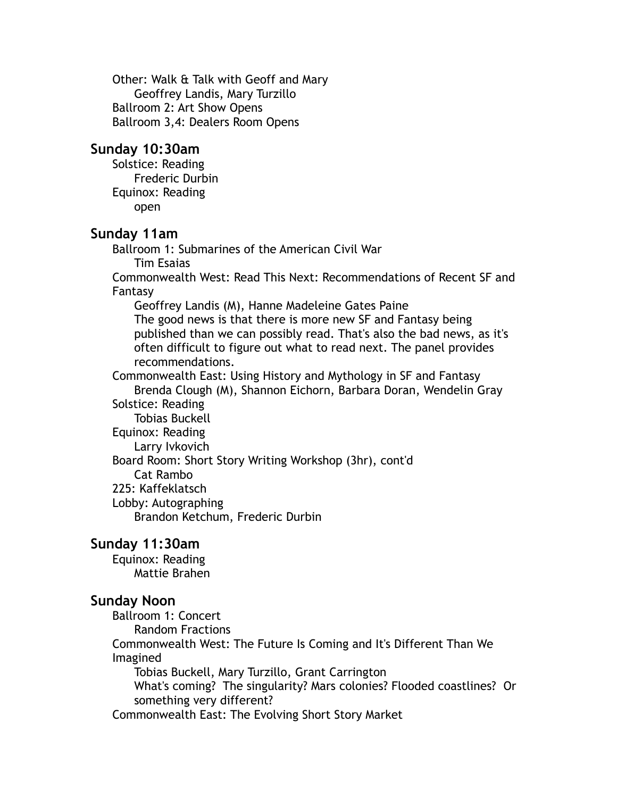Other: Walk & Talk with Geoff and Mary Geoffrey Landis, Mary Turzillo Ballroom 2: Art Show Opens Ballroom 3,4: Dealers Room Opens

### **Sunday 10:30am**

Solstice: Reading Frederic Durbin Equinox: Reading open

### **Sunday 11am**

Ballroom 1: Submarines of the American Civil War Tim Esaias

Commonwealth West: Read This Next: Recommendations of Recent SF and Fantasy

Geoffrey Landis (M), Hanne Madeleine Gates Paine

The good news is that there is more new SF and Fantasy being published than we can possibly read. That's also the bad news, as it's often difficult to figure out what to read next. The panel provides recommendations.

Commonwealth East: Using History and Mythology in SF and Fantasy Brenda Clough (M), Shannon Eichorn, Barbara Doran, Wendelin Gray Solstice: Reading Tobias Buckell Equinox: Reading

Larry Ivkovich

Board Room: Short Story Writing Workshop (3hr), cont'd

Cat Rambo

225: Kaffeklatsch

Lobby: Autographing

Brandon Ketchum, Frederic Durbin

### **Sunday 11:30am**

Equinox: Reading Mattie Brahen

### **Sunday Noon**

Ballroom 1: Concert

Random Fractions

Commonwealth West: The Future Is Coming and It's Different Than We Imagined

Tobias Buckell, Mary Turzillo, Grant Carrington

What's coming? The singularity? Mars colonies? Flooded coastlines? Or something very different?

Commonwealth East: The Evolving Short Story Market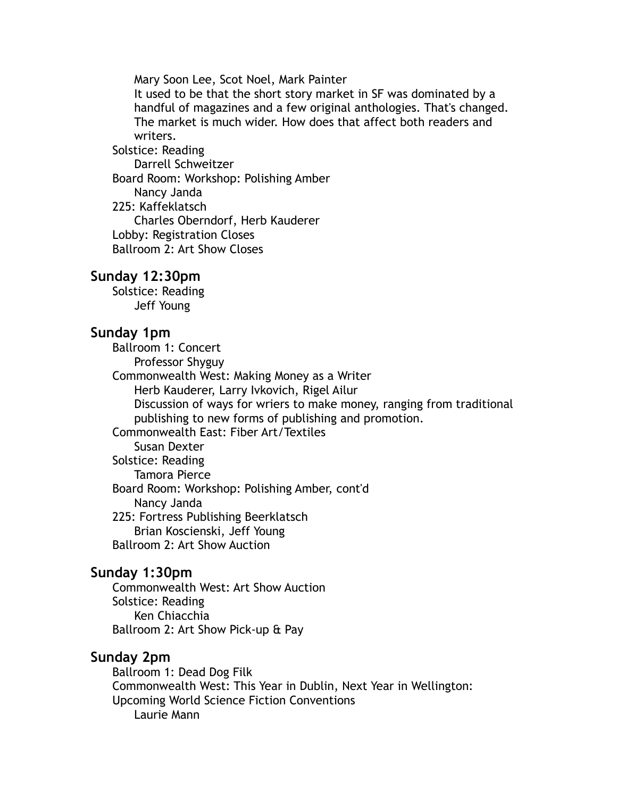Mary Soon Lee, Scot Noel, Mark Painter

It used to be that the short story market in SF was dominated by a handful of magazines and a few original anthologies. That's changed. The market is much wider. How does that affect both readers and writers.

Solstice: Reading Darrell Schweitzer Board Room: Workshop: Polishing Amber Nancy Janda 225: Kaffeklatsch Charles Oberndorf, Herb Kauderer Lobby: Registration Closes Ballroom 2: Art Show Closes

### **Sunday 12:30pm**

Solstice: Reading Jeff Young

### **Sunday 1pm**

Ballroom 1: Concert Professor Shyguy Commonwealth West: Making Money as a Writer Herb Kauderer, Larry Ivkovich, Rigel Ailur Discussion of ways for wriers to make money, ranging from traditional publishing to new forms of publishing and promotion. Commonwealth East: Fiber Art/Textiles Susan Dexter Solstice: Reading Tamora Pierce Board Room: Workshop: Polishing Amber, cont'd Nancy Janda 225: Fortress Publishing Beerklatsch Brian Koscienski, Jeff Young Ballroom 2: Art Show Auction

### **Sunday 1:30pm**

Commonwealth West: Art Show Auction Solstice: Reading Ken Chiacchia Ballroom 2: Art Show Pick-up & Pay

### **Sunday 2pm**

Ballroom 1: Dead Dog Filk Commonwealth West: This Year in Dublin, Next Year in Wellington: Upcoming World Science Fiction Conventions Laurie Mann